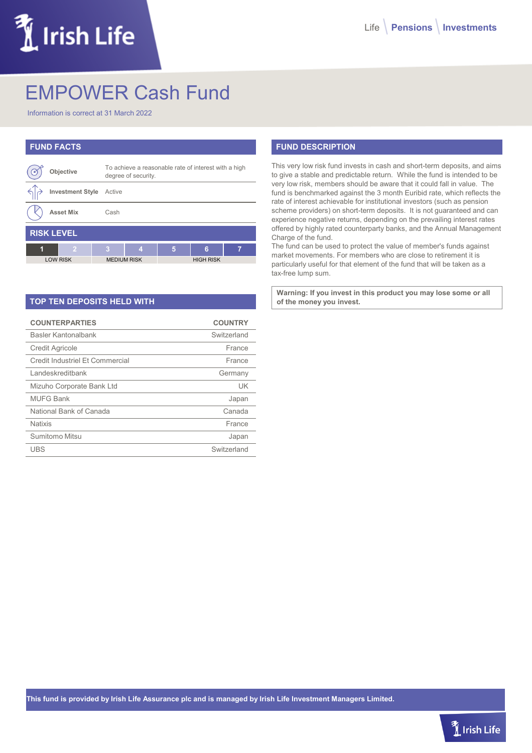# Irish Life

# EMPOWER Cash Fund

Information is correct at 31 March 2022

| <b>FUND FACTS</b> |                         |        |                                                                             |   |   |  |  |
|-------------------|-------------------------|--------|-----------------------------------------------------------------------------|---|---|--|--|
|                   | Objective               |        | To achieve a reasonable rate of interest with a high<br>degree of security. |   |   |  |  |
|                   | <b>Investment Style</b> | Active |                                                                             |   |   |  |  |
|                   | <b>Asset Mix</b>        | Cash   |                                                                             |   |   |  |  |
| <b>RISK LEVEL</b> |                         |        |                                                                             |   |   |  |  |
| 1                 | $\overline{2}$          | 3      | 4                                                                           | 5 | 6 |  |  |
| <b>LOW RISK</b>   |                         |        | <b>MEDIUM RISK</b><br><b>HIGH RISK</b>                                      |   |   |  |  |

| <b>TOP TEN DEPOSITS HELD WITH</b> |                |  |  |  |  |
|-----------------------------------|----------------|--|--|--|--|
| <b>COUNTERPARTIES</b>             | <b>COUNTRY</b> |  |  |  |  |
| Basler Kantonalbank               | Switzerland    |  |  |  |  |
| <b>Credit Agricole</b>            | France         |  |  |  |  |
| Credit Industriel Et Commercial   | France         |  |  |  |  |
| Landeskreditbank                  | Germany        |  |  |  |  |
| Mizuho Corporate Bank Ltd         | UK             |  |  |  |  |
| <b>MUFG Bank</b>                  | Japan          |  |  |  |  |
| National Bank of Canada           | Canada         |  |  |  |  |
| <b>Natixis</b>                    | France         |  |  |  |  |

Sumitomo Mitsu **Sumitomo Mitsu** Japan UBS Switzerland

## **FUND DESCRIPTION**

This very low risk fund invests in cash and short-term deposits, and aims to give a stable and predictable return. While the fund is intended to be very low risk, members should be aware that it could fall in value. The fund is benchmarked against the 3 month Euribid rate, which reflects the rate of interest achievable for institutional investors (such as pension scheme providers) on short-term deposits. It is not guaranteed and can experience negative returns, depending on the prevailing interest rates offered by highly rated counterparty banks, and the Annual Management Charge of the fund.

The fund can be used to protect the value of member's funds against market movements. For members who are close to retirement it is particularly useful for that element of the fund that will be taken as a tax-free lump sum.

**Warning: If you invest in this product you may lose some or all of the money you invest.**